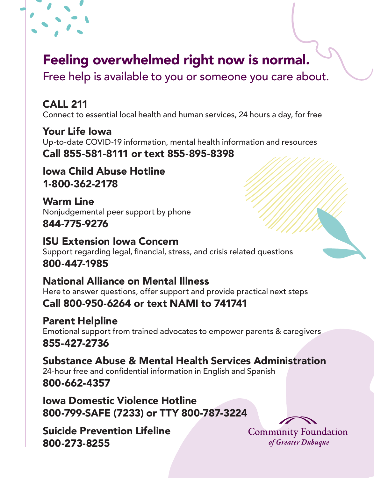## Feeling overwhelmed right now is normal.

Free help is available to you or someone you care about.

### CALL 211

Connect to essential local health and human services, 24 hours a day, for free

Your Life Iowa Up-to-date COVID-19 information, mental health information and resources Call 855-581-8111 or text 855-895-8398

Iowa Child Abuse Hotline 1-800-362-2178

Warm Line Nonjudgemental peer support by phone 844-775-9276

ISU Extension Iowa Concern Support regarding legal, financial, stress, and crisis related questions 800-447-1985

#### National Alliance on Mental Illness Here to answer questions, offer support and provide practical next steps Call 800-950-6264 or text NAMI to 741741

Parent Helpline Emotional support from trained advocates to empower parents & caregivers 855-427-2736

Substance Abuse & Mental Health Services Administration 24-hour free and confidential information in English and Spanish 800-662-4357

Iowa Domestic Violence Hotline 800-799-SAFE (7233) or TTY 800-787-3224

Suicide Prevention Lifeline 800-273-8255

**Community Foundation** of Greater Dubuque